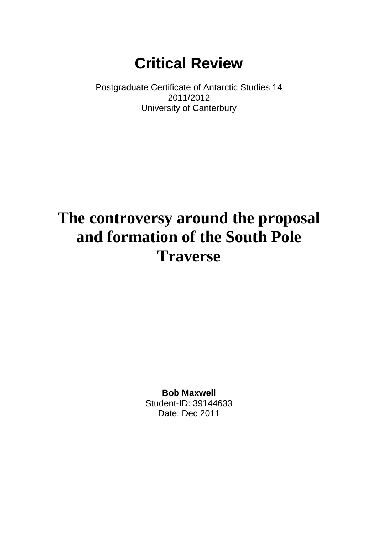# **Critical Review**

Postgraduate Certificate of Antarctic Studies 14 2011/2012 University of Canterbury

# **The controversy around the proposal and formation of the South Pole Traverse**

**Bob Maxwell** Student-ID: 39144633 Date: Dec 2011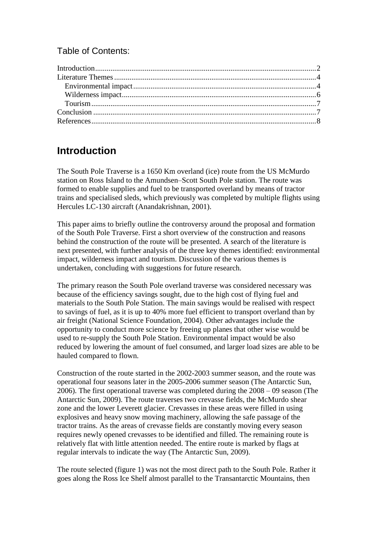#### Table of Contents:

## <span id="page-1-0"></span>**Introduction**

The South Pole Traverse is a 1650 Km overland (ice) route from the US McMurdo station on Ross Island to the Amundsen–Scott South Pole station. The route was formed to enable supplies and fuel to be transported overland by means of tractor trains and specialised sleds, which previously was completed by multiple flights using Hercules LC-130 aircraft [\(Anandakrishnan, 2001\)](#page-7-1).

This paper aims to briefly outline the controversy around the proposal and formation of the South Pole Traverse. First a short overview of the construction and reasons behind the construction of the route will be presented. A search of the literature is next presented, with further analysis of the three key themes identified: environmental impact, wilderness impact and tourism. Discussion of the various themes is undertaken, concluding with suggestions for future research.

The primary reason the South Pole overland traverse was considered necessary was because of the efficiency savings sought, due to the high cost of flying fuel and materials to the South Pole Station. The main savings would be realised with respect to savings of fuel, as it is up to 40% more fuel efficient to transport overland than by air freight [\(National Science Foundation, 2004\)](#page-8-0). Other advantages include the opportunity to conduct more science by freeing up planes that other wise would be used to re-supply the South Pole Station. Environmental impact would be also reduced by lowering the amount of fuel consumed, and larger load sizes are able to be hauled compared to flown.

Construction of the route started in the 2002-2003 summer season, and the route was operational four seasons later in the 2005-2006 summer season [\(The Antarctic Sun,](#page-9-0)  [2006\)](#page-9-0). The first operational traverse was completed during the 2008 – 09 season [\(The](#page-9-1)  [Antarctic Sun, 2009\)](#page-9-1). The route traverses two crevasse fields, the McMurdo shear zone and the lower Leverett glacier. Crevasses in these areas were filled in using explosives and heavy snow moving machinery, allowing the safe passage of the tractor trains. As the areas of crevasse fields are constantly moving every season requires newly opened crevasses to be identified and filled. The remaining route is relatively flat with little attention needed. The entire route is marked by flags at regular intervals to indicate the way [\(The Antarctic Sun, 2009\)](#page-9-1).

The route selected (figure 1) was not the most direct path to the South Pole. Rather it goes along the Ross Ice Shelf almost parallel to the Transantarctic Mountains, then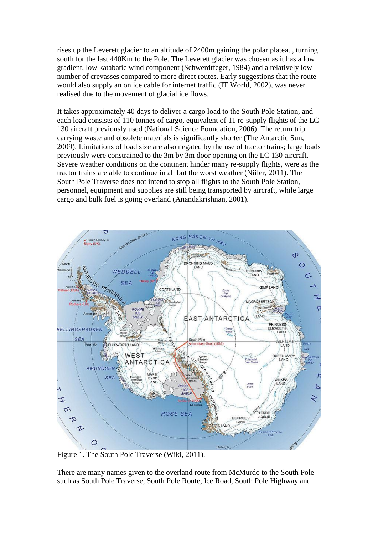rises up the Leverett glacier to an altitude of 2400m gaining the polar plateau, turning south for the last 440Km to the Pole. The Leverett glacier was chosen as it has a low gradient, low katabatic wind component [\(Schwerdtfeger, 1984\)](#page-9-2) and a relatively low number of crevasses compared to more direct routes. Early suggestions that the route would also supply an on ice cable for internet traffic [\(IT World, 2002\)](#page-8-1), was never realised due to the movement of glacial ice flows.

It takes approximately 40 days to deliver a cargo load to the South Pole Station, and each load consists of 110 tonnes of cargo, equivalent of 11 re-supply flights of the LC 130 aircraft previously used [\(National Science Foundation, 2006\)](#page-8-2). The return trip carrying waste and obsolete materials is significantly shorter [\(The Antarctic Sun,](#page-9-1)  [2009\)](#page-9-1). Limitations of load size are also negated by the use of tractor trains; large loads previously were constrained to the 3m by 3m door opening on the LC 130 aircraft. Severe weather conditions on the continent hinder many re-supply flights, were as the tractor trains are able to continue in all but the worst weather [\(Niiler, 2011\)](#page-8-3). The South Pole Traverse does not intend to stop all flights to the South Pole Station, personnel, equipment and supplies are still being transported by aircraft, while large cargo and bulk fuel is going overland [\(Anandakrishnan, 2001\)](#page-7-1).



Figure 1. The South Pole Traverse [\(Wiki, 2011\)](#page-9-3).

There are many names given to the overland route from McMurdo to the South Pole such as South Pole Traverse, South Pole Route, Ice Road, South Pole Highway and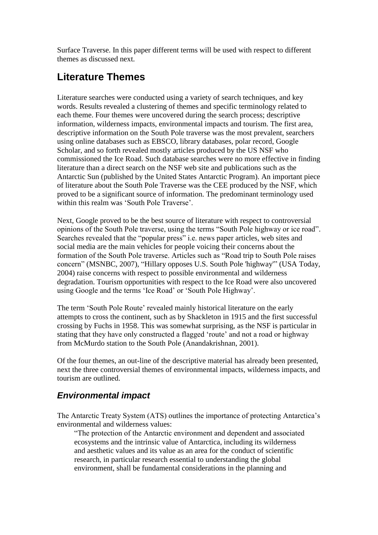Surface Traverse. In this paper different terms will be used with respect to different themes as discussed next.

# <span id="page-3-0"></span>**Literature Themes**

Literature searches were conducted using a variety of search techniques, and key words. Results revealed a clustering of themes and specific terminology related to each theme. Four themes were uncovered during the search process; descriptive information, wilderness impacts, environmental impacts and tourism. The first area, descriptive information on the South Pole traverse was the most prevalent, searchers using online databases such as EBSCO, library databases, polar record, Google Scholar, and so forth revealed mostly articles produced by the US NSF who commissioned the Ice Road. Such database searches were no more effective in finding literature than a direct search on the NSF web site and publications such as the Antarctic Sun (published by the United States Antarctic Program). An important piece of literature about the South Pole Traverse was the CEE produced by the NSF, which proved to be a significant source of information. The predominant terminology used within this realm was 'South Pole Traverse'.

Next, Google proved to be the best source of literature with respect to controversial opinions of the South Pole traverse, using the terms "South Pole highway or ice road". Searches revealed that the "popular press" i.e. news paper articles, web sites and social media are the main vehicles for people voicing their concerns about the formation of the South Pole traverse. Articles such as "Road trip to South Pole raises concern" [\(MSNBC, 2007\)](#page-8-4), "Hillary opposes U.S. South Pole 'highway'" [\(USA Today,](#page-9-4)  [2004\)](#page-9-4) raise concerns with respect to possible environmental and wilderness degradation. Tourism opportunities with respect to the Ice Road were also uncovered using Google and the terms "Ice Road" or "South Pole Highway".

The term 'South Pole Route' revealed mainly historical literature on the early attempts to cross the continent, such as by Shackleton in 1915 and the first successful crossing by Fuchs in 1958. This was somewhat surprising, as the NSF is particular in stating that they have only constructed a flagged "route" and not a road or highway from McMurdo station to the South Pole [\(Anandakrishnan, 2001\)](#page-7-1).

Of the four themes, an out-line of the descriptive material has already been presented, next the three controversial themes of environmental impacts, wilderness impacts, and tourism are outlined.

### <span id="page-3-1"></span>*Environmental impact*

The Antarctic Treaty System (ATS) outlines the importance of protecting Antarctica"s environmental and wilderness values:

"The protection of the Antarctic environment and dependent and associated ecosystems and the intrinsic value of Antarctica, including its wilderness and aesthetic values and its value as an area for the conduct of scientific research, in particular research essential to understanding the global environment, shall be fundamental considerations in the planning and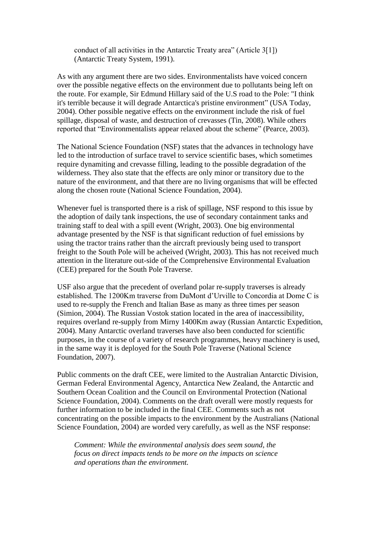conduct of all activities in the Antarctic Treaty area" (Article 3[1]) [\(Antarctic Treaty System, 1991\)](#page-8-5).

As with any argument there are two sides. Environmentalists have voiced concern over the possible negative effects on the environment due to pollutants being left on the route. For example, Sir Edmund Hillary said of the U.S road to the Pole: "I think it's terrible because it will degrade Antarctica's pristine environment" [\(USA Today,](#page-9-4)  [2004\)](#page-9-4). Other possible negative effects on the environment include the risk of fuel spillage, disposal of waste, and destruction of crevasses [\(Tin, 2008\)](#page-9-5). While others reported that "Environmentalists appear relaxed about the scheme" [\(Pearce, 2003\)](#page-8-6).

The National Science Foundation (NSF) states that the advances in technology have led to the introduction of surface travel to service scientific bases, which sometimes require dynamiting and crevasse filling, leading to the possible degradation of the wilderness. They also state that the effects are only minor or transitory due to the nature of the environment, and that there are no living organisms that will be effected along the chosen route [\(National Science Foundation, 2004\)](#page-8-0).

Whenever fuel is transported there is a risk of spillage, NSF respond to this issue by the adoption of daily tank inspections, the use of secondary containment tanks and training staff to deal with a spill event [\(Wright, 2003\)](#page-9-6). One big environmental advantage presented by the NSF is that significant reduction of fuel emissions by using the tractor trains rather than the aircraft previously being used to transport freight to the South Pole will be acheived [\(Wright, 2003\)](#page-9-6). This has not received much attention in the literature out-side of the Comprehensive Environmental Evaluation (CEE) prepared for the South Pole Traverse.

USF also argue that the precedent of overland polar re-supply traverses is already established. The 1200Km traverse from DuMont d"Urville to Concordia at Dome C is used to re-supply the French and Italian Base as many as three times per season [\(Simion, 2004\)](#page-9-7). The Russian Vostok station located in the area of inaccessibility, requires overland re-supply from Mirny 1400Km away [\(Russian Antarctic Expedition,](#page-9-8)  [2004\)](#page-9-8). Many Antarctic overland traverses have also been conducted for scientific purposes, in the course of a variety of research programmes, heavy machinery is used, in the same way it is deployed for the South Pole Traverse [\(National Science](#page-8-7)  [Foundation, 2007\)](#page-8-7).

Public comments on the draft CEE, were limited to the Australian Antarctic Division, German Federal Environmental Agency, Antarctica New Zealand, the Antarctic and Southern Ocean Coalition and the Council on Environmental Protection [\(National](#page-8-0)  [Science Foundation, 2004\)](#page-8-0). Comments on the draft overall were mostly requests for further information to be included in the final CEE. Comments such as not concentrating on the possible impacts to the environment by the Australians [\(National](#page-8-0)  [Science Foundation, 2004\)](#page-8-0) are worded very carefully, as well as the NSF response:

*Comment: While the environmental analysis does seem sound, the focus on direct impacts tends to be more on the impacts on science and operations than the environment.*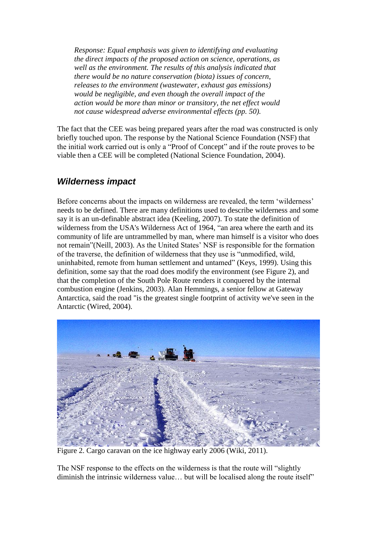*Response: Equal emphasis was given to identifying and evaluating the direct impacts of the proposed action on science, operations, as well as the environment. The results of this analysis indicated that there would be no nature conservation (biota) issues of concern, releases to the environment (wastewater, exhaust gas emissions) would be negligible, and even though the overall impact of the action would be more than minor or transitory, the net effect would not cause widespread adverse environmental effects (pp. 50).*

The fact that the CEE was being prepared years after the road was constructed is only briefly touched upon. The response by the National Science Foundation (NSF) that the initial work carried out is only a "Proof of Concept" and if the route proves to be viable then a CEE will be completed [\(National Science Foundation, 2004\)](#page-8-0).

#### <span id="page-5-0"></span>*Wilderness impact*

Before concerns about the impacts on wilderness are revealed, the term "wilderness" needs to be defined. There are many definitions used to describe wilderness and some say it is an un-definable abstract idea [\(Keeling, 2007\)](#page-8-8). To state the definition of wilderness from the USA's Wilderness Act of 1964, "an area where the earth and its community of life are untrammelled by man, where man himself is a visitor who does not remain"[\(Neill, 2003\)](#page-8-9). As the United States" NSF is responsible for the formation of the traverse, the definition of wilderness that they use is "unmodified, wild, uninhabited, remote from human settlement and untamed" [\(Keys, 1999\)](#page-8-10). Using this definition, some say that the road does modify the environment (see Figure 2), and that the completion of the South Pole Route renders it conquered by the internal combustion engine [\(Jenkins, 2003\)](#page-8-11). Alan Hemmings, a senior fellow at Gateway Antarctica, said the road "is the greatest single footprint of activity we've seen in the Antarctic [\(Wired, 2004\)](#page-9-9).



Figure 2. Cargo caravan on the ice highway early 2006 [\(Wiki, 2011\)](#page-9-3).

The NSF response to the effects on the wilderness is that the route will "slightly diminish the intrinsic wilderness value… but will be localised along the route itself"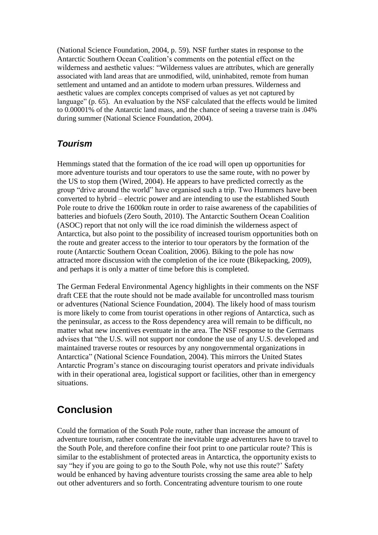[\(National Science Foundation, 2004, p. 59\)](#page-8-0). NSF further states in response to the Antarctic Southern Ocean Coalition"s comments on the potential effect on the wilderness and aesthetic values: "Wilderness values are attributes, which are generally associated with land areas that are unmodified, wild, uninhabited, remote from human settlement and untamed and an antidote to modern urban pressures. Wilderness and aesthetic values are complex concepts comprised of values as yet not captured by language" [\(p. 65\)](#page-8-0). An evaluation by the NSF calculated that the effects would be limited to 0.00001% of the Antarctic land mass, and the chance of seeing a traverse train is .04% during summer [\(National Science Foundation, 2004\)](#page-8-0).

#### <span id="page-6-0"></span>*Tourism*

Hemmings stated that the formation of the ice road will open up opportunities for more adventure tourists and tour operators to use the same route, with no power by the US to stop them [\(Wired, 2004\)](#page-9-9). He appears to have predicted correctly as the group "drive around the world" have organised such a trip. Two Hummers have been converted to hybrid – electric power and are intending to use the established South Pole route to drive the 1600km route in order to raise awareness of the capabilities of batteries and biofuels [\(Zero South, 2010\)](#page-9-10). The Antarctic Southern Ocean Coalition (ASOC) report that not only will the ice road diminish the wilderness aspect of Antarctica, but also point to the possibility of increased tourism opportunities both on the route and greater access to the interior to tour operators by the formation of the route [\(Antarctic Southern Ocean Coalition, 2006\)](#page-8-12). Biking to the pole has now attracted more discussion with the completion of the ice route [\(Bikepacking, 2009\)](#page-8-13), and perhaps it is only a matter of time before this is completed.

The German Federal Environmental Agency highlights in their comments on the NSF draft CEE that the route should not be made available for uncontrolled mass tourism or adventures [\(National Science Foundation, 2004\)](#page-8-0). The likely hood of mass tourism is more likely to come from tourist operations in other regions of Antarctica, such as the peninsular, as access to the Ross dependency area will remain to be difficult, no matter what new incentives eventuate in the area. The NSF response to the Germans advises that "the U.S. will not support nor condone the use of any U.S. developed and maintained traverse routes or resources by any nongovernmental organizations in Antarctica" [\(National Science Foundation, 2004\)](#page-8-0). This mirrors the United States Antarctic Program"s stance on discouraging tourist operators and private individuals with in their operational area, logistical support or facilities, other than in emergency situations.

## <span id="page-6-1"></span>**Conclusion**

Could the formation of the South Pole route, rather than increase the amount of adventure tourism, rather concentrate the inevitable urge adventurers have to travel to the South Pole, and therefore confine their foot print to one particular route? This is similar to the establishment of protected areas in Antarctica, the opportunity exists to say "hey if you are going to go to the South Pole, why not use this route?" Safety would be enhanced by having adventure tourists crossing the same area able to help out other adventurers and so forth. Concentrating adventure tourism to one route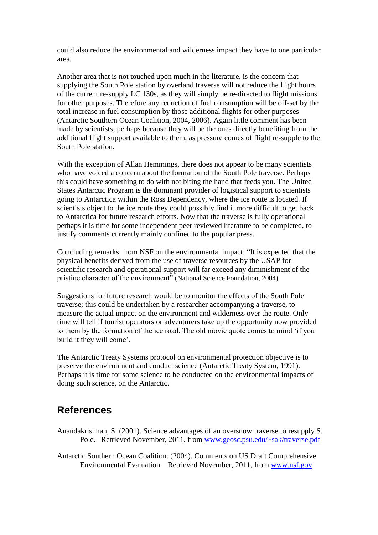could also reduce the environmental and wilderness impact they have to one particular area.

Another area that is not touched upon much in the literature, is the concern that supplying the South Pole station by overland traverse will not reduce the flight hours of the current re-supply LC 130s, as they will simply be re-directed to flight missions for other purposes. Therefore any reduction of fuel consumption will be off-set by the total increase in fuel consumption by those additional flights for other purposes [\(Antarctic Southern Ocean Coalition, 2004,](#page-7-2) [2006\)](#page-8-12). Again little comment has been made by scientists; perhaps because they will be the ones directly benefiting from the additional flight support available to them, as pressure comes of flight re-supple to the South Pole station.

With the exception of Allan Hemmings, there does not appear to be many scientists who have voiced a concern about the formation of the South Pole traverse. Perhaps this could have something to do with not biting the hand that feeds you. The United States Antarctic Program is the dominant provider of logistical support to scientists going to Antarctica within the Ross Dependency, where the ice route is located. If scientists object to the ice route they could possibly find it more difficult to get back to Antarctica for future research efforts. Now that the traverse is fully operational perhaps it is time for some independent peer reviewed literature to be completed, to justify comments currently mainly confined to the popular press.

Concluding remarks from NSF on the environmental impact: "It is expected that the physical benefits derived from the use of traverse resources by the USAP for scientific research and operational support will far exceed any diminishment of the pristine character of the environment" [\(National Science Foundation, 2004\)](#page-8-0)*.*

Suggestions for future research would be to monitor the effects of the South Pole traverse; this could be undertaken by a researcher accompanying a traverse, to measure the actual impact on the environment and wilderness over the route. Only time will tell if tourist operators or adventurers take up the opportunity now provided to them by the formation of the ice road. The old movie quote comes to mind "if you build it they will come'.

The Antarctic Treaty Systems protocol on environmental protection objective is to preserve the environment and conduct science [\(Antarctic Treaty System, 1991\)](#page-8-5). Perhaps it is time for some science to be conducted on the environmental impacts of doing such science, on the Antarctic.

### <span id="page-7-0"></span>**References**

<span id="page-7-1"></span>Anandakrishnan, S. (2001). Science advantages of an oversnow traverse to resupply S. Pole. Retrieved November, 2011, from [www.geosc.psu.edu/~sak/traverse.pdf](http://www.geosc.psu.edu/~sak/traverse.pdf)

<span id="page-7-2"></span>Antarctic Southern Ocean Coalition. (2004). Comments on US Draft Comprehensive Environmental Evaluation. Retrieved November, 2011, from [www.nsf.gov](http://www.nsf.gov/)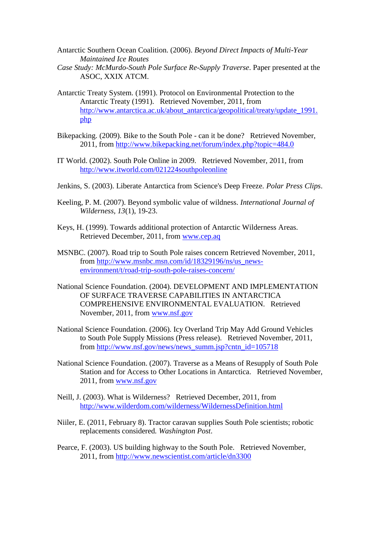- <span id="page-8-12"></span>Antarctic Southern Ocean Coalition. (2006). *Beyond Direct Impacts of Multi-Year Maintained Ice Routes*
- *Case Study: McMurdo-South Pole Surface Re-Supply Traverse*. Paper presented at the ASOC, XXIX ATCM.
- <span id="page-8-5"></span>Antarctic Treaty System. (1991). Protocol on Environmental Protection to the Antarctic Treaty (1991). Retrieved November, 2011, from [http://www.antarctica.ac.uk/about\\_antarctica/geopolitical/treaty/update\\_1991.](http://www.antarctica.ac.uk/about_antarctica/geopolitical/treaty/update_1991.php) [php](http://www.antarctica.ac.uk/about_antarctica/geopolitical/treaty/update_1991.php)
- <span id="page-8-13"></span>Bikepacking. (2009). Bike to the South Pole - can it be done? Retrieved November, 2011, from<http://www.bikepacking.net/forum/index.php?topic=484.0>
- <span id="page-8-1"></span>IT World. (2002). South Pole Online in 2009. Retrieved November, 2011, from <http://www.itworld.com/021224southpoleonline>
- <span id="page-8-11"></span>Jenkins, S. (2003). Liberate Antarctica from Science's Deep Freeze. *Polar Press Clips*.
- <span id="page-8-8"></span>Keeling, P. M. (2007). Beyond symbolic value of wildness. *International Journal of Wilderness, 13*(1), 19-23.
- <span id="page-8-10"></span>Keys, H. (1999). Towards additional protection of Antarctic Wilderness Areas. Retrieved December, 2011, from [www.cep.aq](http://www.cep.aq/)
- <span id="page-8-4"></span>MSNBC. (2007). Road trip to South Pole raises concern Retrieved November, 2011, from [http://www.msnbc.msn.com/id/18329196/ns/us\\_news](http://www.msnbc.msn.com/id/18329196/ns/us_news-environment/t/road-trip-south-pole-raises-concern/)[environment/t/road-trip-south-pole-raises-concern/](http://www.msnbc.msn.com/id/18329196/ns/us_news-environment/t/road-trip-south-pole-raises-concern/)
- <span id="page-8-0"></span>National Science Foundation. (2004). DEVELOPMENT AND IMPLEMENTATION OF SURFACE TRAVERSE CAPABILITIES IN ANTARCTICA COMPREHENSIVE ENVIRONMENTAL EVALUATION. Retrieved November, 2011, from [www.nsf.gov](http://www.nsf.gov/)
- <span id="page-8-2"></span>National Science Foundation. (2006). Icy Overland Trip May Add Ground Vehicles to South Pole Supply Missions (Press release). Retrieved November, 2011, from [http://www.nsf.gov/news/news\\_summ.jsp?cntn\\_id=105718](http://www.nsf.gov/news/news_summ.jsp?cntn_id=105718)
- <span id="page-8-7"></span>National Science Foundation. (2007). Traverse as a Means of Resupply of South Pole Station and for Access to Other Locations in Antarctica. Retrieved November, 2011, from [www.nsf.gov](http://www.nsf.gov/)
- <span id="page-8-9"></span>Neill, J. (2003). What is Wilderness? Retrieved December, 2011, from <http://www.wilderdom.com/wilderness/WildernessDefinition.html>
- <span id="page-8-3"></span>Niiler, E. (2011, February 8). Tractor caravan supplies South Pole scientists; robotic replacements considered*. Washington Post*.
- <span id="page-8-6"></span>Pearce, F. (2003). US building highway to the South Pole. Retrieved November, 2011, from<http://www.newscientist.com/article/dn3300>